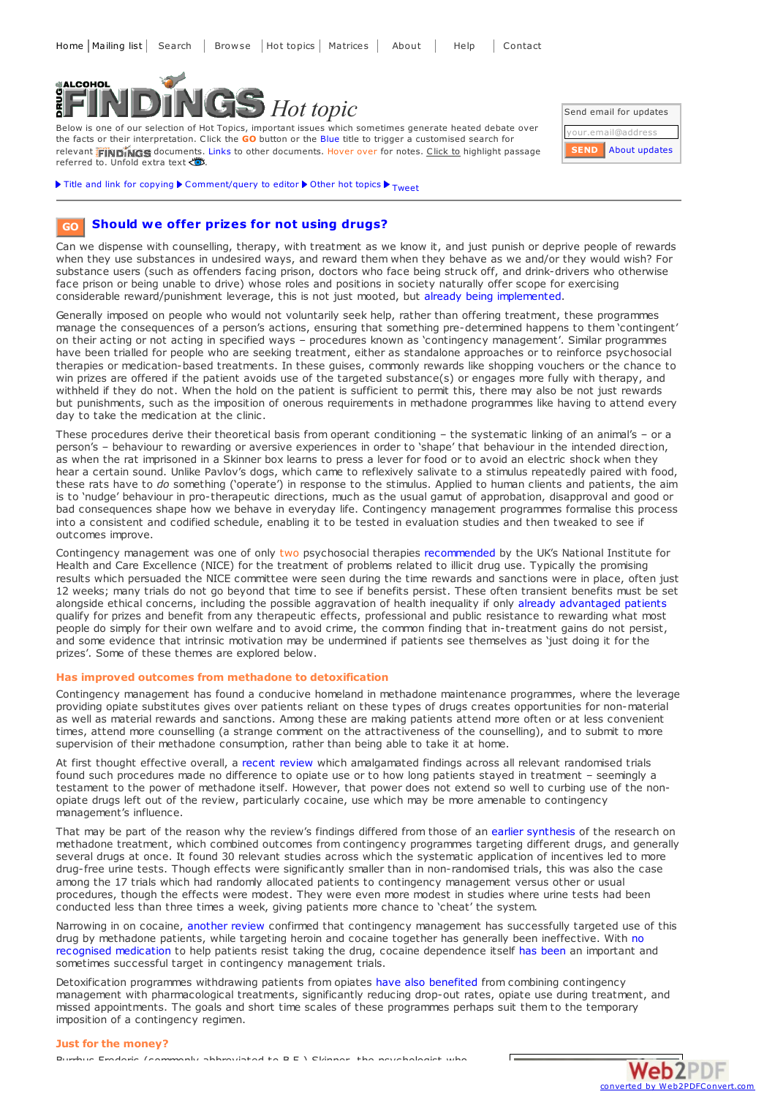

Below is one of our selection of Hot Topics, important issues which sometimes generate heated debate over the facts or their interpretation. Click the **GO** button or the Blue title to trigger a customised search for relevant **FINDINGS** documents. Links to other documents. Hover over for notes. Click to highlight passage referred to. Unfold extra text



Title and link for [copying](javascript:;)  $\blacktriangleright$  [Comment/query](mailto:editor@findings.org.uk?Subject=Findings entry: Should we offer prizes for not using drugs?&body=Dear Editor%0A%0ARegarding the Findings document:%0AShould we offer prizes for not using drugs?%0Aat:%0Ahttps://findings.org.uk/PHP/dl.php?file=hot_CM.hot%0A%0AI would appreciate your response to this comment/query:%0A[Enter your comment/query here]) to editor  $\blacktriangleright$  Other hot [topics](https://findings.org.uk/hot_topics_archive.php)  $\blacktriangleright$  [Tweet](https://twitter.com/share)

#### **Should we offer prizes for not using [drugs?](https://findings.org.uk/topic_results.php?allCodes%5B%5D=contingency&source=hot&sortBy=DateAdded&s=eb) GO**

Can we dispense with counselling, therapy, with treatment as we know it, and just punish or deprive people of rewards when they use substances in undesired ways, and reward them when they behave as we and/or they would wish? For substance users (such as offenders facing prison, doctors who face being struck off, and drink-drivers who otherwise face prison or being unable to drive) whose roles and positions in society naturally offer scope for exercising considerable reward/punishment leverage, this is not just mooted, but already being [implemented](https://findings.org.uk/PHP/dl.php?file=test_and_sanction.hot&s=eb).

Generally imposed on people who would not voluntarily seek help, rather than offering treatment, these programmes manage the consequences of a person's actions, ensuring that something pre-determined happens to them 'contingent' on their acting or not acting in specified ways – procedures known as 'contingency management'. Similar programmes have been trialled for people who are seeking treatment, either as standalone approaches or to reinforce psychosocial therapies or medication-based treatments. In these guises, commonly rewards like shopping vouchers or the chance to win prizes are offered if the patient avoids use of the targeted substance(s) or engages more fully with therapy, and withheld if they do not. When the hold on the patient is sufficient to permit this, there may also be not just rewards but punishments, such as the imposition of onerous requirements in methadone programmes like having to attend every day to take the medication at the clinic.

These procedures derive their theoretical basis from operant conditioning – the systematic linking of an animal's – or a person's – behaviour to rewarding or aversive experiences in order to 'shape' that behaviour in the intended direction, as when the rat imprisoned in a Skinner box learns to press a lever for food or to avoid an electric shock when they hear a certain sound. Unlike Pavlov's dogs, which came to reflexively salivate to a stimulus repeatedly paired with food, these rats have to *do* something ('operate') in response to the stimulus. Applied to human clients and patients, the aim is to 'nudge' behaviour in pro-therapeutic directions, much as the usual gamut of approbation, disapproval and good or bad consequences shape how we behave in everyday life. Contingency management programmes formalise this process into a consistent and codified schedule, enabling it to be tested in evaluation studies and then tweaked to see if outcomes improve.

Contingency management was one of only two psychosocial therapies [recommended](http://www.nice.org.uk/CG51) by the UK's National Institute for Health and Care Excellence (NICE) for the treatment of problems related to illicit drug use. Typically the promising results which persuaded the NICE committee were seen during the time rewards and sanctions were in place, often just 12 weeks; many trials do not go beyond that time to see if benefits persist. These often transient benefits must be set alongside ethical concerns, including the possible aggravation of health inequality if only already [advantaged](https://findings.org.uk/PHP/dl.php?file=Penberthy_JK_2.txt&s=eb) patients qualify for prizes and benefit from any therapeutic effects, professional and public resistance to rewarding what most people do simply for their own welfare and to avoid crime, the common finding that in-treatment gains do not persist, and some evidence that intrinsic motivation may be undermined if patients see themselves as 'just doing it for the prizes'. Some of these themes are explored below.

#### **Has improved outcomes from methadone to detoxification**

Contingency management has found a conducive homeland in methadone maintenance programmes, where the leverage providing opiate substitutes gives over patients reliant on these types of drugs creates opportunities for non-material as well as material rewards and sanctions. Among these are making patients attend more often or at less convenient times, attend more counselling (a strange comment on the attractiveness of the counselling), and to submit to more supervision of their methadone consumption, rather than being able to take it at home.

At first thought effective overall, a [recent](https://findings.org.uk/PHP/dl.php?file=Amato_L_5.txt&s=eb) review which amalgamated findings across all relevant randomised trials found such procedures made no difference to opiate use or to how long patients stayed in treatment – seemingly a testament to the power of methadone itself. However, that power does not extend so well to curbing use of the nonopiate drugs left out of the review, particularly cocaine, use which may be more amenable to contingency management's influence.

That may be part of the reason why the review's findings differed from those of an earlier [synthesis](https://findings.org.uk/PHP/dl.php?file=nug_4_5.pdf&s=eb) of the research on methadone treatment, which combined outcomes from contingency programmes targeting different drugs, and generally several drugs at once. It found 30 relevant studies across which the systematic application of incentives led to more drug-free urine tests. Though effects were significantly smaller than in non-randomised trials, this was also the case among the 17 trials which had randomly allocated patients to contingency management versus other or usual procedures, though the effects were modest. They were even more modest in studies where urine tests had been conducted less than three times a week, giving patients more chance to 'cheat' the system.

Narrowing in on cocaine, [another](https://findings.org.uk/PHP/dl.php?file=Castells_X_2.txt&s=eb) review confirmed that contingency management has successfully targeted use of this drug by methadone patients, while targeting heroin and cocaine together has generally been [ineffective.](https://findings.org.uk/PHP/dl.php?file=hot_cocaine_treat.hot&s=eb) With no recognised medication to help patients resist taking the drug, cocaine dependence itself has [been](https://findings.org.uk/PHP/dl.php?file=Penberthy_JK_2.txt&s=eb) an important and sometimes successful target in contingency management trials.

Detoxification programmes withdrawing patients from opiates have also [benefited](https://findings.org.uk/PHP/dl.php?file=Amato_L_4.txt&s=eb) from combining contingency management with pharmacological treatments, significantly reducing drop-out rates, opiate use during treatment, and missed appointments. The goals and short time scales of these programmes perhaps suit them to the temporary imposition of a contingency regimen.

### **Just for the money?**

Burrhus Frederic (commonly abbreviated to B.F.) Skinner, the psychologist who

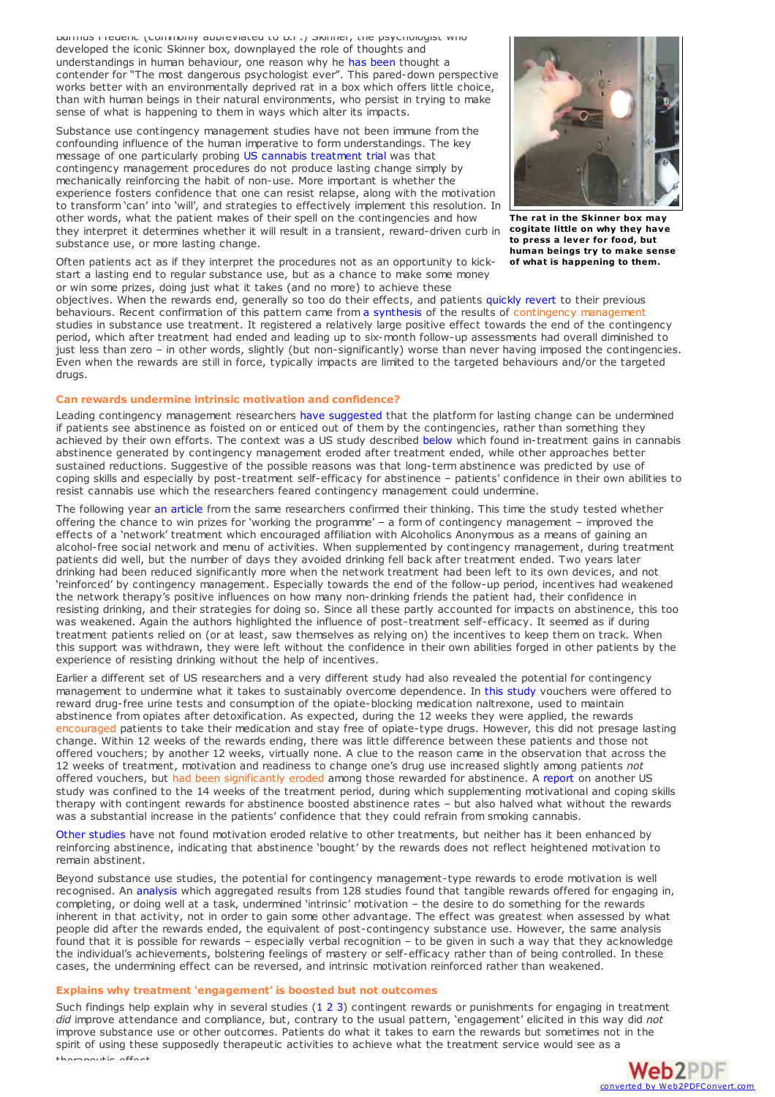Burrhus Frederic (commonly abbreviated to B.F.) Skinner, the psychologist who developed the iconic Skinner box, downplayed the role of thoughts and understandings in human behaviour, one reason why he has [been](http://io9.gizmodo.com/why-b-f-skinner-may-have-been-the-most-dangerous-psych-1548690441) thought a contender for "The most dangerous psychologist ever". This pared-down perspective works better with an environmentally deprived rat in a box which offers little choice, than with human beings in their natural environments, who persist in trying to make sense of what is happening to them in ways which alter its impacts.

Substance use contingency management studies have not been immune from the confounding influence of the human imperative to form understandings. The key message of one particularly probing US cannabis [treatment](https://findings.org.uk/PHP/dl.php?file=Litt_MD_5.txt&s=eb) trial was that contingency management procedures do not produce lasting change simply by mechanically reinforcing the habit of non-use. More important is whether the experience fosters confidence that one can resist relapse, along with the motivation to transform 'can' into 'will', and strategies to effectively implement this resolution. In other words, what the patient makes of their spell on the contingencies and how they interpret it determines whether it will result in a transient, reward-driven curb in substance use, or more lasting change.



**The rat in the Skinner box may cogitate little on why they have to press a lever for food, but human beings try to make sense of what is happening to them.**

Often patients act as if they interpret the procedures not as an opportunity to kickstart a lasting end to regular substance use, but as a chance to make some money or win some prizes, doing just what it takes (and no more) to achieve these

objectives. When the rewards end, generally so too do their effects, and patients [quickly](http://dx.doi.org/10.1080/00952990701301319) revert to their previous behaviours. Recent confirmation of this pattern came from a [synthesis](http://dx.doi.org/10.1111/add.12589) of the results of contingency management studies in substance use treatment. It registered a relatively large positive effect towards the end of the contingency period, which after treatment had ended and leading up to six-month follow-up assessments had overall diminished to just less than zero – in other words, slightly (but non-significantly) worse than never having imposed the contingencies. Even when the rewards are still in force, typically impacts are limited to the targeted behaviours and/or the targeted drugs.

# **Can rewards undermine intrinsic motivation and confidence?**

Leading contingency management researchers have [suggested](https://findings.org.uk/PHP/dl.php?file=Litt_MD_5.txt&s=eb) that the platform for lasting change can be undermined if patients see abstinence as foisted on or enticed out of them by the contingencies, rather than something they achieved by their own efforts. The context was a US study described [below](#page-2-0) which found in-treatment gains in cannabis abstinence generated by contingency management eroded after treatment ended, while other approaches better sustained reductions. Suggestive of the possible reasons was that long-term abstinence was predicted by use of coping skills and especially by post-treatment self-efficacy for abstinence – patients' confidence in their own abilities to resist cannabis use which the researchers feared contingency management could undermine.

The following year an [article](https://findings.org.uk/PHP/dl.php?file=Litt_MD_6.txt&s=eb) from the same researchers confirmed their thinking. This time the study tested whether offering the chance to win prizes for 'working the programme' – a form of contingency management – improved the effects of a 'network' treatment which encouraged affiliation with Alcoholics Anonymous as a means of gaining an alcohol-free social network and menu of activities. When supplemented by contingency management, during treatment patients did well, but the number of days they avoided drinking fell back after treatment ended. Two years later drinking had been reduced significantly more when the network treatment had been left to its own devices, and not 'reinforced' by contingency management. Especially towards the end of the follow-up period, incentives had weakened the network therapy's positive influences on how many non-drinking friends the patient had, their confidence in resisting drinking, and their strategies for doing so. Since all these partly accounted for impacts on abstinence, this too was weakened. Again the authors highlighted the influence of post-treatment self-efficacy. It seemed as if during treatment patients relied on (or at least, saw themselves as relying on) the incentives to keep them on track. When this support was withdrawn, they were left without the confidence in their own abilities forged in other patients by the experience of resisting drinking without the help of incentives.

Earlier a different set of US researchers and a very different study had also revealed the potential for contingency management to undermine what it takes to sustainably overcome dependence. In this [study](http://dx.doi.org/10.1037//1064-1297.10.1.54) vouchers were offered to reward drug-free urine tests and consumption of the opiate-blocking medication naltrexone, used to maintain abstinence from opiates after detoxification. As expected, during the 12 weeks they were applied, the rewards encouraged patients to take their medication and stay free of opiate-type drugs. However, this did not presage lasting change. Within 12 weeks of the rewards ending, there was little difference between these patients and those not offered vouchers; by another 12 weeks, virtually none. A clue to the reason came in the observation that across the 12 weeks of treatment, motivation and readiness to change one's drug use increased slightly among patients *not* offered vouchers, but had been significantly eroded among those rewarded for abstinence. A [report](http://dx.doi.org/10.1037//0022-006X.68.6.1051) on another US study was confined to the 14 weeks of the treatment period, during which supplementing motivational and coping skills therapy with contingent rewards for abstinence boosted abstinence rates – but also halved what without the rewards was a substantial increase in the patients' confidence that they could refrain from smoking cannabis.

Other [studies](http://dx.doi.org/10.1016/j.drugalcdep.2005.10.012) have not found motivation eroded relative to other treatments, but neither has it been enhanced by reinforcing abstinence, indicating that abstinence 'bought' by the rewards does not reflect heightened motivation to remain abstinent.

Beyond substance use studies, the potential for contingency management-type rewards to erode motivation is well recognised. An [analysis](http://home.ubalt.edu/tmitch/642/Articles syllabus/Deci Koestner Ryan meta IM psy bull 99.pdf) which aggregated results from 128 studies found that tangible rewards offered for engaging in, completing, or doing well at a task, undermined 'intrinsic' motivation – the desire to do something for the rewards inherent in that activity, not in order to gain some other advantage. The effect was greatest when assessed by what people did after the rewards ended, the equivalent of post-contingency substance use. However, the same analysis found that it is possible for rewards – especially verbal recognition – to be given in such a way that they acknowledge the individual's achievements, bolstering feelings of mastery or self-efficacy rather than of being controlled. In these cases, the undermining effect can be reversed, and intrinsic motivation reinforced rather than weakened.

## **Explains why treatment 'engagement' is boosted but not outcomes**

Such findings help explain why in several studies ([1](http://dx.doi.org/10.1016/j.jsat.2007.02.009) [2](http://dx.doi.org/10.1016/j.drugalcdep.2006.12.006) [3](http://www.mrw.interscience.wiley.com/cochrane/clsysrev/articles/CD006037/frame.html)) contingent rewards or punishments for engaging in treatment *did* improve attendance and compliance, but, contrary to the usual pattern, 'engagement' elicited in this way did *not* improve substance use or other outcomes. Patients do what it takes to earn the rewards but sometimes not in [the](http://www.web2pdfconvert.com?ref=PDF) spirit of using these supposedly therapeutic activities to achieve what the treatment service would see [as](http://www.web2pdfconvert.com?ref=PDF) a proutic effect.